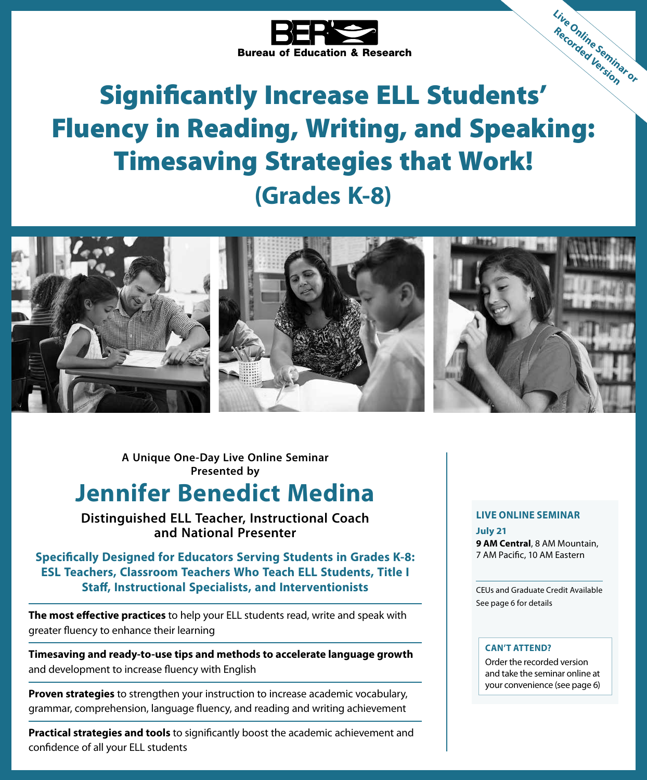

# Bureau of Education & Research<br>Significantly Increase ELL Students' Fluency in Reading, Writing, and Speaking: Timesaving Strategies that Work! **(Grades K-8) Live Online Seminar or Recorded Version**



**A Unique One-Day Live Online Seminar Presented by**

# **Jennifer Benedict Medina**

**Distinguished ELL Teacher, Instructional Coach and National Presenter**

**Specifically Designed for Educators Serving Students in Grades K-8: ESL Teachers, Classroom Teachers Who Teach ELL Students, Title I Staff, Instructional Specialists, and Interventionists** 

**The most effective practices** to help your ELL students read, write and speak with greater fluency to enhance their learning

**Timesaving and ready-to-use tips and methods to accelerate language growth** and development to increase fluency with English

**Proven strategies** to strengthen your instruction to increase academic vocabulary, grammar, comprehension, language fluency, and reading and writing achievement

**Practical strategies and tools** to significantly boost the academic achievement and confidence of all your ELL students

### **LIVE ONLINE SEMINAR**

**July 21 9 AM Central**, 8 AM Mountain, 7 AM Pacific, 10 AM Eastern

CEUs and Graduate Credit Available See page 6 for details

### **CAN'T ATTEND?**

Order the recorded version and take the seminar online at your convenience (see page 6)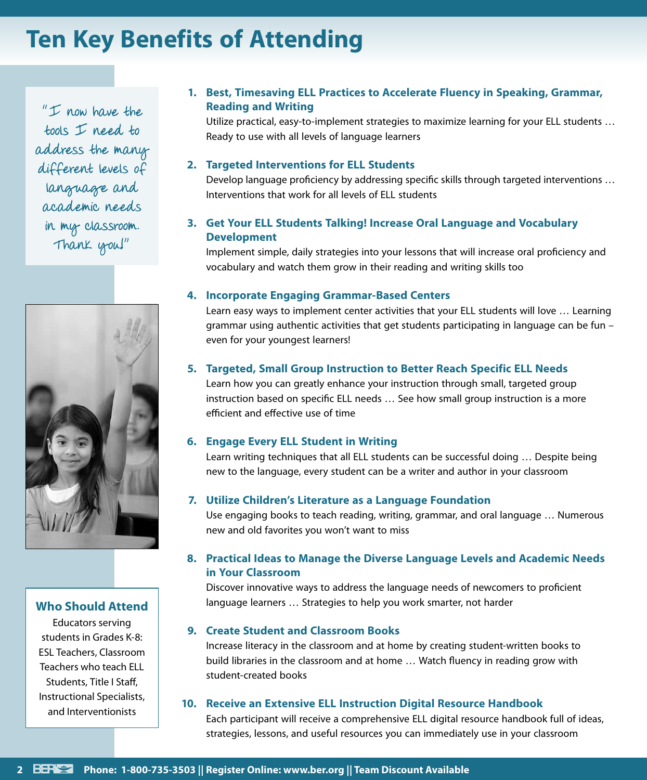# **Ten Key Benefits of Attending**

 $"I$  now have the tools I need to address the many different levels of language and academic needs in my classroom. Thank you!"



### **Who Should Attend**

Educators serving students in Grades K-8: ESL Teachers, Classroom Teachers who teach ELL Students, Title I Staff, Instructional Specialists, and Interventionists

### **1. Best, Timesaving ELL Practices to Accelerate Fluency in Speaking, Grammar, Reading and Writing**

Utilize practical, easy-to-implement strategies to maximize learning for your ELL students … Ready to use with all levels of language learners

### **2. Targeted Interventions for ELL Students**

Develop language proficiency by addressing specific skills through targeted interventions … Interventions that work for all levels of ELL students

### **3. Get Your ELL Students Talking! Increase Oral Language and Vocabulary Development**

Implement simple, daily strategies into your lessons that will increase oral proficiency and vocabulary and watch them grow in their reading and writing skills too

### **4. Incorporate Engaging Grammar-Based Centers**

Learn easy ways to implement center activities that your ELL students will love … Learning grammar using authentic activities that get students participating in language can be fun – even for your youngest learners!

### **5. Targeted, Small Group Instruction to Better Reach Specific ELL Needs**

Learn how you can greatly enhance your instruction through small, targeted group instruction based on specific ELL needs … See how small group instruction is a more efficient and effective use of time

### **6. Engage Every ELL Student in Writing**

Learn writing techniques that all ELL students can be successful doing … Despite being new to the language, every student can be a writer and author in your classroom

### **7. Utilize Children's Literature as a Language Foundation**

Use engaging books to teach reading, writing, grammar, and oral language … Numerous new and old favorites you won't want to miss

### **8. Practical Ideas to Manage the Diverse Language Levels and Academic Needs in Your Classroom**

Discover innovative ways to address the language needs of newcomers to proficient language learners … Strategies to help you work smarter, not harder

### **9. Create Student and Classroom Books**

Increase literacy in the classroom and at home by creating student-written books to build libraries in the classroom and at home … Watch fluency in reading grow with student-created books

### **10. Receive an Extensive ELL Instruction Digital Resource Handbook**

Each participant will receive a comprehensive ELL digital resource handbook full of ideas, strategies, lessons, and useful resources you can immediately use in your classroom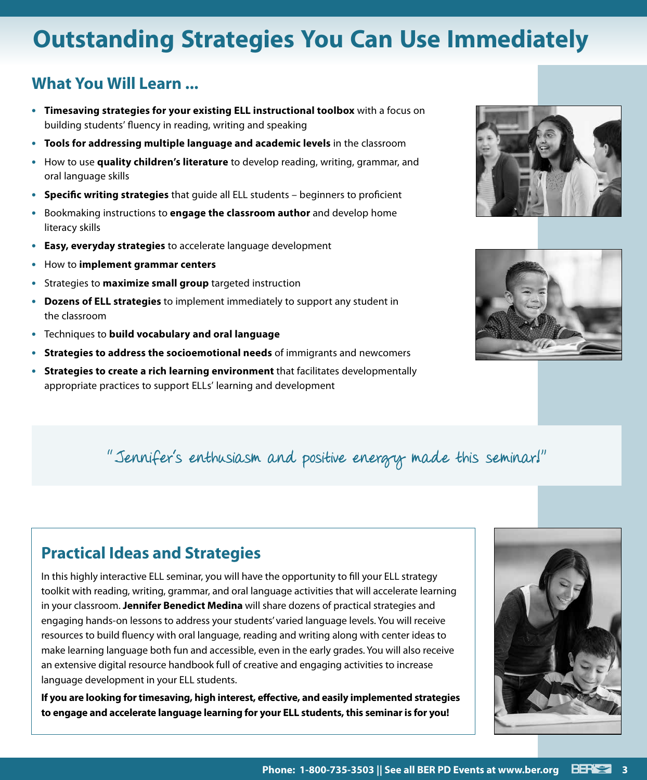# **Outstanding Strategies You Can Use Immediately**

## **What You Will Learn ...**

- **• Timesaving strategies for your existing ELL instructional toolbox** with a focus on building students' fluency in reading, writing and speaking
- **• Tools for addressing multiple language and academic levels** in the classroom
- **•** How to use **quality children's literature** to develop reading, writing, grammar, and oral language skills
- **• Specific writing strategies** that guide all ELL students beginners to proficient
- **•** Bookmaking instructions to **engage the classroom author** and develop home literacy skills
- **• Easy, everyday strategies** to accelerate language development
- **•** How to **implement grammar centers**
- **•** Strategies to **maximize small group** targeted instruction
- **• Dozens of ELL strategies** to implement immediately to support any student in the classroom
- **•** Techniques to **build vocabulary and oral language**
- **• Strategies to address the socioemotional needs** of immigrants and newcomers
- **• Strategies to create a rich learning environment** that facilitates developmentally appropriate practices to support ELLs' learning and development





# "Jennifer's enthusiasm and positive energy made this seminar!"

# **Practical Ideas and Strategies**

In this highly interactive ELL seminar, you will have the opportunity to fill your ELL strategy toolkit with reading, writing, grammar, and oral language activities that will accelerate learning in your classroom. **Jennifer Benedict Medina** will share dozens of practical strategies and engaging hands-on lessons to address your students' varied language levels. You will receive resources to build fluency with oral language, reading and writing along with center ideas to make learning language both fun and accessible, even in the early grades. You will also receive an extensive digital resource handbook full of creative and engaging activities to increase language development in your ELL students.

**If you are looking for timesaving, high interest, effective, and easily implemented strategies to engage and accelerate language learning for your ELL students, this seminar is for you!**

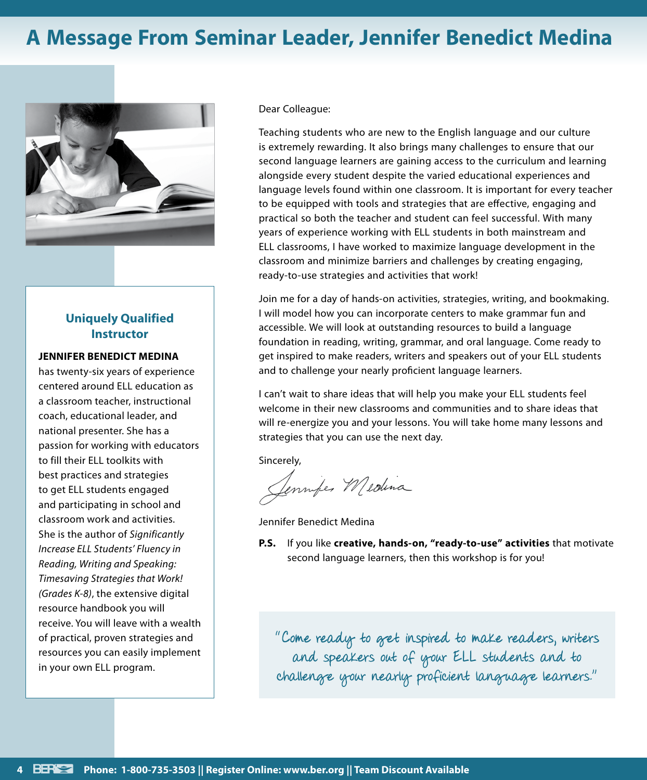# **A Message From Seminar Leader, Jennifer Benedict Medina**



### **Uniquely Qualified Instructor**

### **JENNIFER BENEDICT MEDINA**

has twenty-six years of experience centered around ELL education as a classroom teacher, instructional coach, educational leader, and national presenter. She has a passion for working with educators to fill their ELL toolkits with best practices and strategies to get ELL students engaged and participating in school and classroom work and activities. She is the author of *Significantly Increase ELL Students' Fluency in Reading, Writing and Speaking: Timesaving Strategies that Work! (Grades K-8)*, the extensive digital resource handbook you will receive. You will leave with a wealth of practical, proven strategies and resources you can easily implement in your own ELL program.

Dear Colleague:

Teaching students who are new to the English language and our culture is extremely rewarding. It also brings many challenges to ensure that our second language learners are gaining access to the curriculum and learning alongside every student despite the varied educational experiences and language levels found within one classroom. It is important for every teacher to be equipped with tools and strategies that are effective, engaging and practical so both the teacher and student can feel successful. With many years of experience working with ELL students in both mainstream and ELL classrooms, I have worked to maximize language development in the classroom and minimize barriers and challenges by creating engaging, ready-to-use strategies and activities that work!

Join me for a day of hands-on activities, strategies, writing, and bookmaking. I will model how you can incorporate centers to make grammar fun and accessible. We will look at outstanding resources to build a language foundation in reading, writing, grammar, and oral language. Come ready to get inspired to make readers, writers and speakers out of your ELL students and to challenge your nearly proficient language learners.

I can't wait to share ideas that will help you make your ELL students feel welcome in their new classrooms and communities and to share ideas that will re-energize you and your lessons. You will take home many lessons and strategies that you can use the next day.

Sincerely,

Semmifer Medina

Jennifer Benedict Medina

**P.S.** If you like **creative, hands-on, "ready-to-use" activities** that motivate second language learners, then this workshop is for you!

"Come ready to get inspired to make readers, writers and speakers out of your ELL students and to challenge your nearly proficient language learners."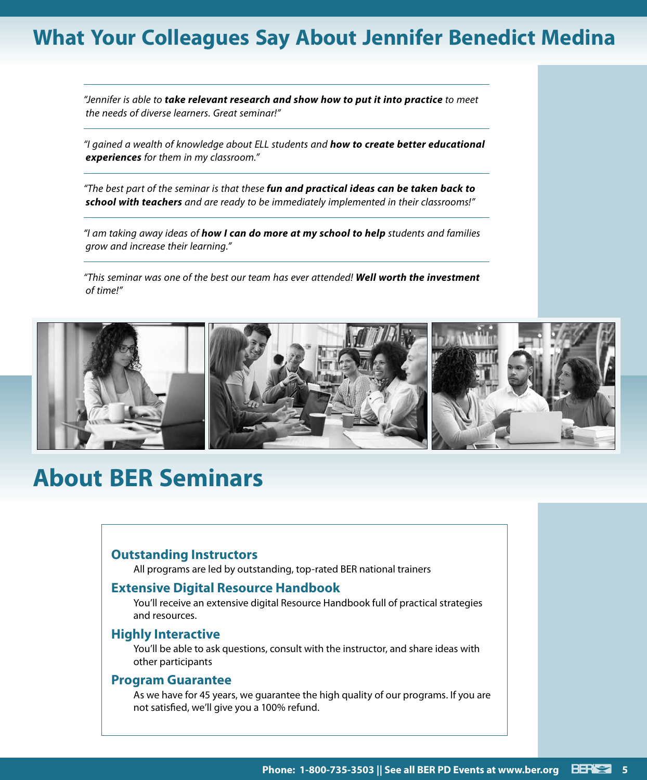# **What Your Colleagues Say About Jennifer Benedict Medina**

*"Jennifer is able to take relevant research and show how to put it into practice to meet the needs of diverse learners. Great seminar!"*

*"I gained a wealth of knowledge about ELL students and how to create better educational experiences for them in my classroom."*

*"The best part of the seminar is that these fun and practical ideas can be taken back to school with teachers and are ready to be immediately implemented in their classrooms!"*

*"I am taking away ideas of how I can do more at my school to help students and families grow and increase their learning."*

*"This seminar was one of the best our team has ever attended! Well worth the investment of time!"*



# **About BER Seminars**

### **Outstanding Instructors**

All programs are led by outstanding, top-rated BER national trainers

### **Extensive Digital Resource Handbook**

You'll receive an extensive digital Resource Handbook full of practical strategies and resources.

### **Highly Interactive**

You'll be able to ask questions, consult with the instructor, and share ideas with other participants

### **Program Guarantee**

As we have for 45 years, we guarantee the high quality of our programs. If you are not satisfied, we'll give you a 100% refund.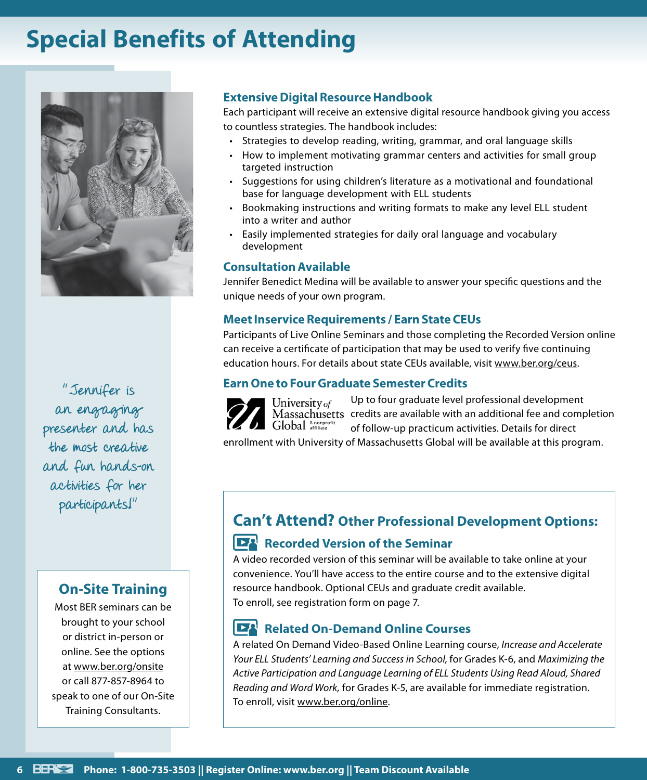# **Special Benefits of Attending**



"Jennifer is an engaging presenter and has the most creative and fun hands-on activities for her participants!"

### **On-Site Training**

Most BER seminars can be brought to your school or district in-person or online. See the options at www.ber.org/onsite or call 877-857-8964 to speak to one of our On-Site Training Consultants.

### **Extensive Digital Resource Handbook**

Each participant will receive an extensive digital resource handbook giving you access to countless strategies. The handbook includes:

- Strategies to develop reading, writing, grammar, and oral language skills
- How to implement motivating grammar centers and activities for small group targeted instruction
- Suggestions for using children's literature as a motivational and foundational base for language development with ELL students
- Bookmaking instructions and writing formats to make any level ELL student into a writer and author
- Easily implemented strategies for daily oral language and vocabulary development

### **Consultation Available**

Jennifer Benedict Medina will be available to answer your specific questions and the unique needs of your own program.

### **Meet Inservice Requirements / Earn State CEUs**

Participants of Live Online Seminars and those completing the Recorded Version online can receive a certificate of participation that may be used to verify five continuing education hours. For details about state CEUs available, visit www.ber.org/ceus.

### **Earn One to Four Graduate Semester Credits**



Up to four graduate level professional development Massachusetts credits are available with an additional fee and completion of follow-up practicum activities. Details for direct

enrollment with University of Massachusetts Global will be available at this program.

# **Can't Attend? Other Professional Development Options:**

### **Recorded Version of the Seminar**

A video recorded version of this seminar will be available to take online at your convenience. You'll have access to the entire course and to the extensive digital resource handbook. Optional CEUs and graduate credit available. To enroll, see registration form on page 7.

### **Related On-Demand Online Courses**

A related On Demand Video-Based Online Learning course, *Increase and Accelerate Your ELL Students' Learning and Success in School,* for Grades K-6, and *Maximizing the Active Participation and Language Learning of ELL Students Using Read Aloud, Shared Reading and Word Work,* for Grades K-5, are available for immediate registration. To enroll, visit www.ber.org/online.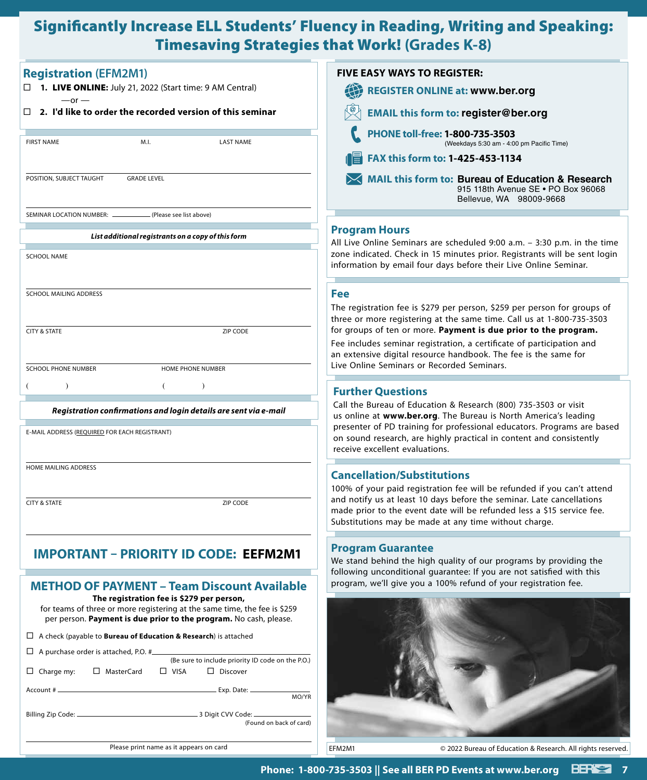# Significantly Increase ELL Students' Fluency in Reading, Writing and Speaking: Timesaving Strategies that Work! **(Grades K-8)**

| <b>Registration (EFM2M1)</b>                                                                                                                                                                | <b>FIVE EASY WAYS TO REGISTER:</b>                                                                                                                                                                                        |
|---------------------------------------------------------------------------------------------------------------------------------------------------------------------------------------------|---------------------------------------------------------------------------------------------------------------------------------------------------------------------------------------------------------------------------|
| □ 1. LIVE ONLINE: July 21, 2022 (Start time: 9 AM Central)<br>$-$ or $-$                                                                                                                    | <b>REGISTER ONLINE at: www.ber.org</b>                                                                                                                                                                                    |
| $\Box$ 2. I'd like to order the recorded version of this seminar                                                                                                                            | <b>EMAIL this form to: register@ber.org</b>                                                                                                                                                                               |
| M.I.<br><b>FIRST NAME</b><br><b>LAST NAME</b>                                                                                                                                               | PHONE toll-free: 1-800-735-3503<br>(Weekdays 5:30 am - 4:00 pm Pacific Time)                                                                                                                                              |
|                                                                                                                                                                                             | FAX this form to: 1-425-453-1134                                                                                                                                                                                          |
| POSITION, SUBJECT TAUGHT<br><b>GRADE LEVEL</b>                                                                                                                                              | MAIL this form to: Bureau of Education & Research<br>915 118th Avenue SE . PO Box 96068<br>Bellevue, WA 98009-9668                                                                                                        |
| (Please see list above)<br>SEMINAR LOCATION NUMBER: _                                                                                                                                       |                                                                                                                                                                                                                           |
| List additional registrants on a copy of this form                                                                                                                                          | <b>Program Hours</b>                                                                                                                                                                                                      |
| <b>SCHOOL NAME</b>                                                                                                                                                                          | All Live Online Seminars are scheduled 9:00 a.m. - 3:30 p.m. in the time<br>zone indicated. Check in 15 minutes prior. Registrants will be sent login<br>information by email four days before their Live Online Seminar. |
| <b>SCHOOL MAILING ADDRESS</b>                                                                                                                                                               | <b>Fee</b>                                                                                                                                                                                                                |
|                                                                                                                                                                                             | The registration fee is \$279 per person, \$259 per person for groups of                                                                                                                                                  |
| <b>CITY &amp; STATE</b><br><b>ZIP CODE</b>                                                                                                                                                  | three or more registering at the same time. Call us at 1-800-735-3503<br>for groups of ten or more. Payment is due prior to the program.                                                                                  |
|                                                                                                                                                                                             | Fee includes seminar registration, a certificate of participation and                                                                                                                                                     |
| SCHOOL PHONE NUMBER<br>HOME PHONE NUMBER                                                                                                                                                    | an extensive digital resource handbook. The fee is the same for<br>Live Online Seminars or Recorded Seminars.                                                                                                             |
|                                                                                                                                                                                             |                                                                                                                                                                                                                           |
|                                                                                                                                                                                             | <b>Further Questions</b>                                                                                                                                                                                                  |
| Registration confirmations and login details are sent via e-mail                                                                                                                            | Call the Bureau of Education & Research (800) 735-3503 or visit<br>us online at www.ber.org. The Bureau is North America's leading                                                                                        |
| E-MAIL ADDRESS (REQUIRED FOR EACH REGISTRANT)                                                                                                                                               | presenter of PD training for professional educators. Programs are based<br>on sound research, are highly practical in content and consistently<br>receive excellent evaluations.                                          |
| HOME MAILING ADDRESS                                                                                                                                                                        | <b>Cancellation/Substitutions</b>                                                                                                                                                                                         |
|                                                                                                                                                                                             | 100% of your paid registration fee will be refunded if you can't attend                                                                                                                                                   |
| <b>CITY &amp; STATE</b><br>ZIP CODE                                                                                                                                                         | and notify us at least 10 days before the seminar. Late cancellations<br>made prior to the event date will be refunded less a \$15 service fee.<br>Substitutions may be made at any time without charge.                  |
| <b>IMPORTANT - PRIORITY ID CODE: EEFM2M1</b>                                                                                                                                                | <b>Program Guarantee</b><br>We stand behind the high quality of our programs by providing the<br>following unconditional guarantee: If you are not satisfied with this                                                    |
| <b>METHOD OF PAYMENT - Team Discount Available</b>                                                                                                                                          | program, we'll give you a 100% refund of your registration fee.                                                                                                                                                           |
| The registration fee is \$279 per person,<br>for teams of three or more registering at the same time, the fee is \$259<br>per person. Payment is due prior to the program. No cash, please. |                                                                                                                                                                                                                           |
| $\Box$ A check (payable to <b>Bureau of Education &amp; Research</b> ) is attached                                                                                                          |                                                                                                                                                                                                                           |
| $\Box$ A purchase order is attached, P.O. #<br>(Be sure to include priority ID code on the P.O.)                                                                                            |                                                                                                                                                                                                                           |
| $\Box$ Charge my:<br>□ MasterCard<br>$\square$ VISA<br>$\Box$ Discover                                                                                                                      |                                                                                                                                                                                                                           |
| MO/YR                                                                                                                                                                                       |                                                                                                                                                                                                                           |
|                                                                                                                                                                                             |                                                                                                                                                                                                                           |
| (Found on back of card)                                                                                                                                                                     |                                                                                                                                                                                                                           |
| Please print name as it appears on card                                                                                                                                                     | EFM2M1<br>© 2022 Bureau of Education & Research. All rights reserved.                                                                                                                                                     |